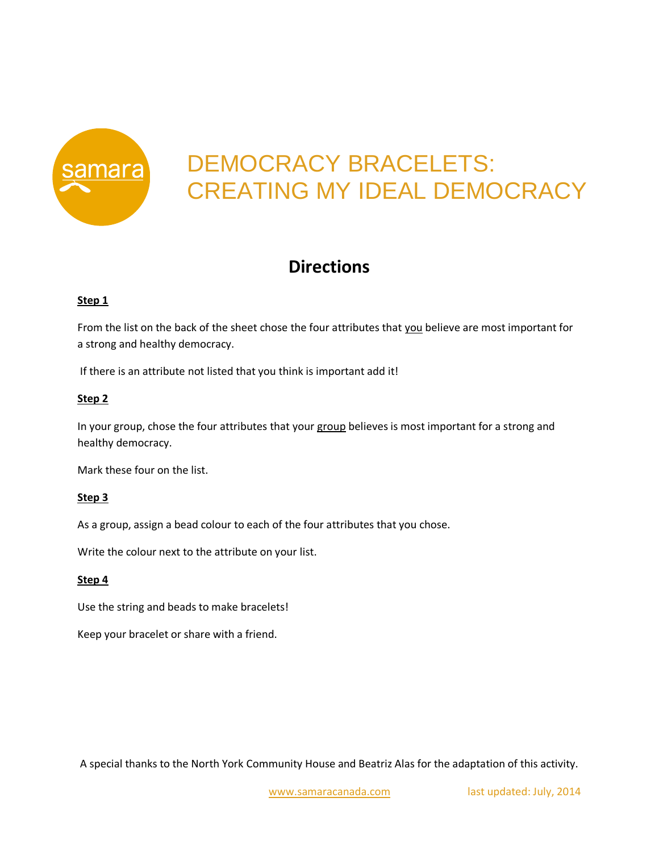

# DEMOCRACY BRACELETS: CREATING MY IDEAL DEMOCRACY

## **Directions**

### **Step 1**

From the list on the back of the sheet chose the four attributes that you believe are most important for a strong and healthy democracy.

If there is an attribute not listed that you think is important add it!

### **Step 2**

In your group, chose the four attributes that your group believes is most important for a strong and healthy democracy.

Mark these four on the list.

#### **Step 3**

As a group, assign a bead colour to each of the four attributes that you chose.

Write the colour next to the attribute on your list.

#### **Step 4**

Use the string and beads to make bracelets!

Keep your bracelet or share with a friend.

A special thanks to the North York Community House and Beatriz Alas for the adaptation of this activity.